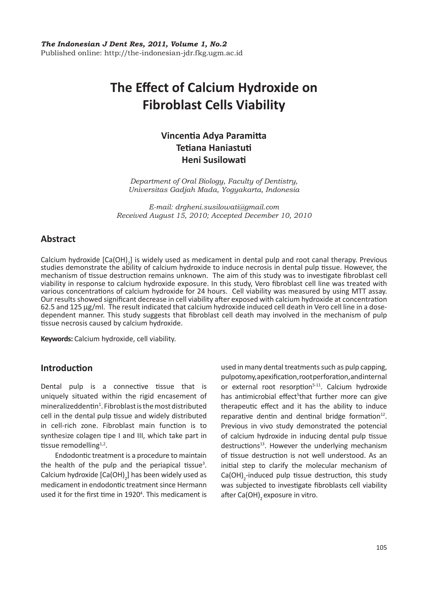# **The Effect of Calcium Hydroxide on Fibroblast Cells Viability**

# **Vincentia Adya Paramitta Tetiana Haniastuti Heni Susilowati**

*Department of Oral Biology, Faculty of Dentistry, Universitas Gadjah Mada, Yogyakarta, Indonesia*

*E-mail: drgheni.susilowati@gmail.com Received August 15, 2010; Accepted December 10, 2010*

# **Abstract**

Calcium hydroxide  $[Ca(OH)_2]$  is widely used as medicament in dental pulp and root canal therapy. Previous studies demonstrate the ability of calcium hydroxide to induce necrosis in dental pulp tissue. However, the mechanism of tissue destruction remains unknown. The aim of this study was to investigate fibroblast cell viability in response to calcium hydroxide exposure. In this study, Vero fibroblast cell line was treated with various concentrations of calcium hydroxide for 24 hours. Cell viability was measured by using MTT assay. Our results showed significant decrease in cell viability after exposed with calcium hydroxide at concentration 62.5 and 125 µg/ml. The result indicated that calcium hydroxide induced cell death in Vero cell line in a dosedependent manner. This study suggests that fibroblast cell death may involved in the mechanism of pulp tissue necrosis caused by calcium hydroxide.

**Keywords:** Calcium hydroxide, cell viability.

## **Introduction**

Dental pulp is a connective tissue that is uniquely situated within the rigid encasement of mineralizeddentin $^1$ . Fibroblast is the most distributed cell in the dental pulp tissue and widely distributed in cell-rich zone. Fibroblast main function is to synthesize colagen tipe I and III, which take part in tissue remodelling $1,2$ .

Endodontic treatment is a procedure to maintain the health of the pulp and the periapical tissue<sup>3</sup>. Calcium hydroxide  $\textsf{[Ca(OH)}_2\textsf{]}$  has been widely used as medicament in endodontic treatment since Hermann used it for the first time in 1920<sup>4</sup>. This medicament is used in many dental treatments such as pulp capping, pulpotomy, apexification, root perforation, and internal or external root resorption $5-11$ . Calcium hydroxide has antimicrobial effect<sup>5</sup>that further more can give therapeutic effect and it has the ability to induce reparative dentin and dentinal bridge formation $12$ . Previous in vivo study demonstrated the potencial of calcium hydroxide in inducing dental pulp tissue  $destructions<sup>13</sup>$ . However the underlying mechanism of tissue destruction is not well understood. As an initial step to clarify the molecular mechanism of  $Ca(OH)_{2}$ -induced pulp tissue destruction, this study was subjected to investigate fibroblasts cell viability after Ca(OH), exposure in vitro.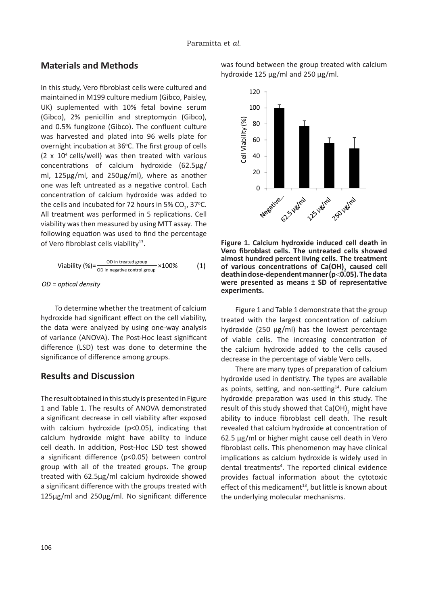#### $\overline{a}$  and  $\overline{b}$  culture medium (Gibco,  $\overline{b}$  culture medium (Gibco,  $\overline{b}$  culture medium (Gibco,  $\overline{b}$  culture medium (Gibco,  $\overline{b}$  culture medium (Gibco,  $\overline{b}$  culture medium (Gibco,  $\overline{b}$  culture **Materials and Methods**

In this study, Vero fibroblast cells were cultured and m and staal, the intrestate can were carracted and maintained in M199 culture medium (Gibco, Paisley, maintained in M155 cantale medium (Gibco, Palsie),<br>UK) suplemented with 10% fetal bovine serum Gibco), 2% penicillin and streptomycin (Gibco), 2% penicillin and streptomycin (Gibco), (Gibco), 2% perficiling and streptomyent (Gibco), and 0.5% fungizone (Gibco). The confluent culture and 0.5% rangizone (dibco). The comment candier was harvested and plated into 96 wells plate for overnight incubation at 36°C. The first group of cells<br>(2004) With With various concentrations of calcium hydroxide in  $(2 \times 10^4 \text{ cells/well})$  was then treated with various  $(2 \times 10^4 \text{ cells/well})$ concentrations of calcium hydroxide (62.5µg/<br>
1975, whereasand as left untreated as left untreated as left untreated as left untreated as left until concentrations of calcium hydroxide (62.5μg/<br>ml, 125μg/ml, and 250μg/ml), where as another one was left untreated as a negative control. Each concentration of calcium hydroxide was added to the cells and incubated for 72 hours in 5%  $CO_2$ , 37°C. All treatment was performed in 5 replications. Cell of Vero fibroblast cells viability<sup>13</sup>. viability was then measured by using MTT assay. The following equation was used to find the percentage and 0.5% fungizone (Gibco). The was harvested and plated into 96 wells pla (Sixce),  $2\pi$  performing and streptonly entropy, and 0.5% fungizone (Gibco). The confluent culture<br>vise homested and plated into 06 yiells plate for G. The content<br>Us into the first was harvested and plated into 96 wells plate for<br>group of cells we might incubation at 50 c. The mist group of central  $\sqrt{2} \approx 4.04$  call  $\sqrt{2} \approx 4.04$  $(2 \times 10^{\circ}$  cells/well) was then treated with various  $\frac{1}{2}$  is supply that included with  $\frac{1}{2}$  fetal boxines in the  $\frac{1}{2}$ inamitamed in M199 culture medium (Gibco, Paisley,<br>..... (Gibco), and other the confluent of the confluent (Gibco). The confluent control of control or control of control or control or control or control or control or control or control or control or control or control or contro cubco), 2% penicului and streptomycin (Gibco),

$$
Viability (\%) = \frac{OD \text{ in treated group}}{OD \text{ in negative control group}} \times 100\% \tag{1}
$$

 $T_{\rm eff}$  determine whether the treatment of calcium  $T_{\rm eff}$ *OD = optical density OD = optical density OD = optical density*

To determine whether the treatment of calcium hydroxide had significant effect on the cell viability, the data were analyzed by using one-way analysis of variance (ANOVA). The Post-Hoc least significant **Results and Discussion** significance of difference among groups. significance of difference among groups. significance of difference among groups. significance of difference among groups. difference (LSD) test was done to determine the difference (LSD) test was done to determine the difference (LSD) test was done to determine the difference (LSD) test was done to determine the

# The result obtained in this study is presented in **Results and Discussion Results and Discussion Results and Discussion Results and Discussion**

The result obtained in this study is presented in Figure The result obtained in this study is presented in Figure<br>1. and Table 1. The results of ANOVA demonstrated indicating that calcium hydroxidemight have ability demonstrated a significant decrease in cell viability demonstrated a significant decrease in cell viability a significant decrease in cell viability after exposed  $\frac{1}{2}$  showed a significant difference (p.0.05), multiplied that control hydroxide might have ability to made cen death. In addition, Foschiol LSD test showed a significant difference  $(p\sim 0.03)$  between control  $t = 1250$  with an or the treated groups. The group a significant accrease in cent viability after exposed<br>with calcium hydroxide (p<0.05), indicating that with calcium hydroxide (psoloo), maleating that to induce cell death. In addition, Post-Hoc LSD test to induce cell death. In addition, Post-Hoc LSD test showed a significant difference (p<0.05) between showed a significant difference (p<0.05) between a significant unicidities (ps0.03) between control group with an or the treated groups. The  $s$  if early with  $\alpha$  showed a significant difference with the groups  $\alpha$  $t = \frac{1}{250}$   $t = 1.5$   $t = 250$   $t = 1.1$   $t = 1.0$ group with an or the treated groups. The group showed a significant difference with the groups tracted with a significant difference with the groups treated with  $1250$ 1 and Table 1. The results of ANOVA demonstrated a significant decrease in cell viability after exposed with calcium hydroxide  $(p<0.05)$ , indicating that calcium hydroxide might have ability to induce cell death. In addition, Post-Hoc LSD test showed a significant difference (p<0.05) between control group with all of the treated groups. The group treated with 62.5μg/ml calcium hydroxide showed 125μg/ml and 250μg/ml. No significant difference

was found between the group treated with calcium hydroxide 125 μg/ml and 250 μg/ml. and 250 µg/ml. and 250 µg/ml. and 250 µg/ml.



almost hundred percent living cells. The treatment of various concentrations of Ca(OH)<sub>2</sub> caused cell **death in dose-dependent manner (p<0.05). The data** were presented as means  $\pm$  SD of representative *experiments.* **The untreated cells showed almost**  $\alpha$ **as means ± SD of representative experiments. Figure 1. Calcium hydroxide induced cell death in Vero fibroblast cells. The untreated cells showed hundred percent living cells. The treatment of various hundred percent living cells. The treatment of various fibroblast cells. The untreated cells showed almost hundred percent living cells. The treatment of various** 

<sup>1</sup> streated with the largest concentration of calcium group with the largest concentration of calcium hydroxide (250 µg/ml) has the lowest percentage The increasing concentration of viable cells. The increasing concentration of the calcium hydroxide added to the cells caused calcium hydromics decrease to the cells decrease in the percentage of viable Vero cells. Figure 1 and Table 1 demonstrate that the group **concentrations of Ca(OH)2 caused cell death in dose-**<sup>m</sup> Figure 1 and Table 1 demonstrate that the **present as a set of**  $\mathbf{p}$ **concentrations of Ca(OH)2 caused cell death in dose-Figure 1 and Table 1 demonstrate that the group** calcium hydroxide added to the cens caused percentage of viable verbicals.  $\overline{a}$ 

There are many types of preparation of calcium hydroxide used in dentistry. The types are available hydroxide used in dentistry. The types are available as points, setting, and non-setting<sup>14</sup>. Pure calcium hydroxide preparation was used in this study. The hydroxide preparation was used in this study. The result of this study showed that  $Ca(OH)_{2}$  might have used in the types are available used in dentistry. d ability to induce fibroblast cell death. The result at revealed that calcium hydroxide at concentration of  $\frac{1}{2}$  62.5  $\mu$ g/ml or higher might cause cell death in Vero d fibroblast cells. This phenomenon may have clinical ol implications as calcium hydroxide is widely used in p dental treatments<sup>4</sup>. The reported clinical evidence d provides factual information about the cytotoxic  $\mathsf{ch}$  effect of this medicament<sup>13</sup>, but little is known about the underlying molecular mechanisms. viable Vero cells. the cells caused in the cause of the cause of the collection as politis, scitting  $T$   $\alpha$  are preparation was used in this study. The result of this study showed that  $\text{Ca(OH)}_{2}$  might have  $\text{Ca(OH)}_{3}$ concentration of the calcium hydroxide and the calcium hydroxide added to the calcium hydroxide and the calciu<br>Hydroxide and to concentration of the calcium hydroxide and the calcium of the calcium of the calcium of the c the cells caused in defitistive line types are available. as points, setting roxide preparation was used in this study. The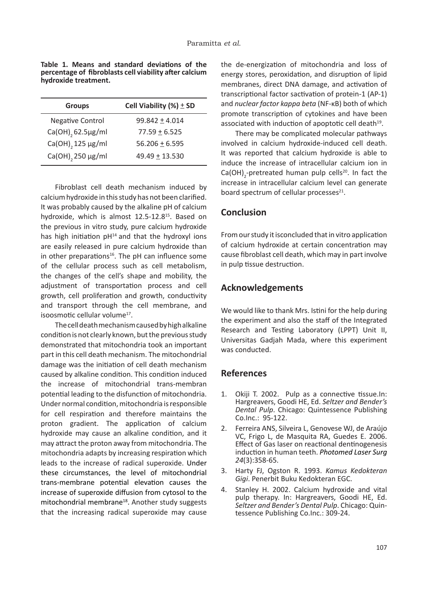**Table 1. Means and standard deviations of the percentage of fibroblasts cell viability after calcium hydroxide treatment.**

| <b>Groups</b>                 | Cell Viability $(\%) \pm SD$ |
|-------------------------------|------------------------------|
| <b>Negative Control</b>       | $99.842 \pm 4.014$           |
| Ca(OH) <sub>2</sub> 62.5µg/ml | $77.59 \pm 6.525$            |
| Ca(OH), 125 µg/ml             | $56.206 + 6.595$             |
| Ca(OH), 250 µg/ml             | $49.49 + 13.530$             |

Fibroblast cell death mechanism induced by calcium hydroxide in this study has not been clarified. It was probably caused by the alkaline pH of calcium hydroxide, which is almost 12.5-12.8<sup>15</sup>. Based on the previous in vitro study, pure calcium hydroxide has high initiation  $pH<sup>14</sup>$  and that the hydroxyl ions are easily released in pure calcium hydroxide than in other preparations<sup>16</sup>. The pH can influence some of the cellular process such as cell metabolism, the changes of the cell's shape and mobility, the adjustment of transportation process and cell growth, cell proliferation and growth, conductivity and transport through the cell membrane, and isoosmotic cellular volume<sup>17</sup>.

The cell death mechanism caused by high alkaline condition is not clearly known, but the previous study demonstrated that mitochondria took an important part in this cell death mechanism. The mitochondrial damage was the initiation of cell death mechanism caused by alkaline condition. This condition induced the increase of mitochondrial trans-membran potential leading to the disfunction of mitochondria. Under normal condition, mitochondria is responsible for cell respiration and therefore maintains the proton gradient. The application of calcium hydroxide may cause an alkaline condition, and it may attract the proton away from mitochondria. The mitochondria adapts by increasing respiration which leads to the increase of radical superoxide. Under these circumstances, the level of mitochondrial trans-membrane potential elevation causes the increase of superoxide diffusion from cytosol to the mitochondrial membrane18. Another study suggests that the increasing radical superoxide may cause

the de-energization of mitochondria and loss of energy stores, peroxidation, and disruption of lipid membranes, direct DNA damage, and activation of transcriptional factor sactivation of protein-1 (AP-1) and *nuclear factor kappa beta* (NF-κB) both of which promote transcription of cytokines and have been associated with induction of apoptotic cell death<sup>19</sup>.

There may be complicated molecular pathways involved in calcium hydroxide-induced cell death. It was reported that calcium hydroxide is able to induce the increase of intracellular calcium ion in  $Ca(OH)_{2}$ -pretreated human pulp cells<sup>20</sup>. In fact the increase in intracellular calcium level can generate board spectrum of cellular processes $21$ .

# **Conclusion**

From our study it isconcluded that in vitro application of calcium hydroxide at certain concentration may cause fibroblast cell death, which may in part involve in pulp tissue destruction.

## **Acknowledgements**

We would like to thank Mrs. Istini for the help during the experiment and also the staff of the Integrated Research and Testing Laboratory (LPPT) Unit II, Universitas Gadjah Mada, where this experiment was conducted.

## **References**

- 1. Okiji T. 2002. Pulp as a connective tissue.In: Hargreavers, Goodi HE, Ed. *Seltzer and Bender's Dental Pulp*. Chicago: Quintessence Publishing Co.Inc.: 95-122.
- 2. Ferreira ANS, Silveira L, Genovese WJ, de Araújo VC, Frigo L, de Masquita RA, Guedes E. 2006. Effect of Gas laser on reactional dentinogenesis induction in human teeth. *Photomed Laser Surg 24*(3):358-65.
- 3. Harty FJ, Ogston R. 1993. *Kamus Kedokteran Gigi*. Penerbit Buku Kedokteran EGC.
- 4. Stanley H. 2002. Calcium hydroxide and vital pulp therapy. In: Hargreavers, Goodi HE, Ed. *Seltzer and Bender's Dental Pulp*. Chicago: Quintessence Publishing Co.Inc.: 309-24.